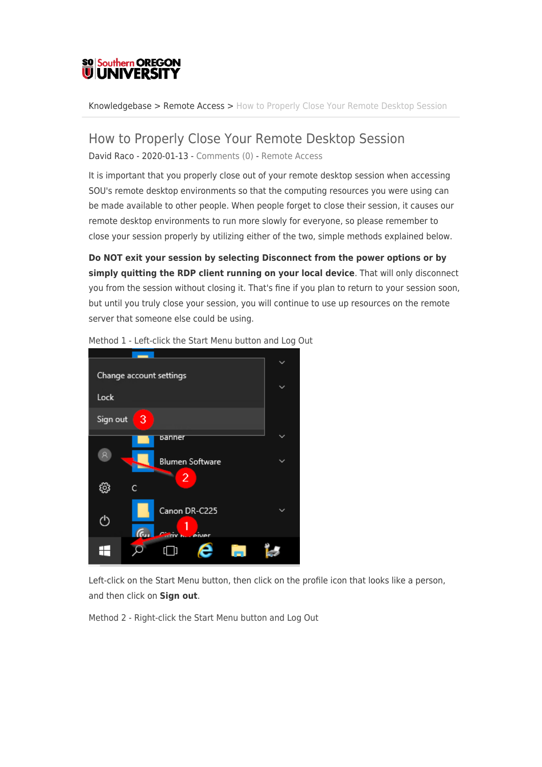## **SO Southern OREGON UIUNIVERSI**

[Knowledgebase](https://support.sou.edu/kb) > [Remote Access](https://support.sou.edu/kb/remote-access) > [How to Properly Close Your Remote Desktop Session](https://support.sou.edu/kb/articles/how-to-properly-close-your-remote-desktop-session)

## How to Properly Close Your Remote Desktop Session David Raco - 2020-01-13 - [Comments \(0\)](#page--1-0) - [Remote Access](https://support.sou.edu/kb/remote-access)

It is important that you properly close out of your remote desktop session when accessing SOU's remote desktop environments so that the computing resources you were using can be made available to other people. When people forget to close their session, it causes our remote desktop environments to run more slowly for everyone, so please remember to close your session properly by utilizing either of the two, simple methods explained below.

**Do NOT exit your session by selecting Disconnect from the power options or by simply quitting the RDP client running on your local device**. That will only disconnect you from the session without closing it. That's fine if you plan to return to your session soon, but until you truly close your session, you will continue to use up resources on the remote server that someone else could be using.



Method 1 - Left-click the Start Menu button and Log Out

Left-click on the Start Menu button, then click on the profile icon that looks like a person, and then click on **Sign out**.

Method 2 - Right-click the Start Menu button and Log Out